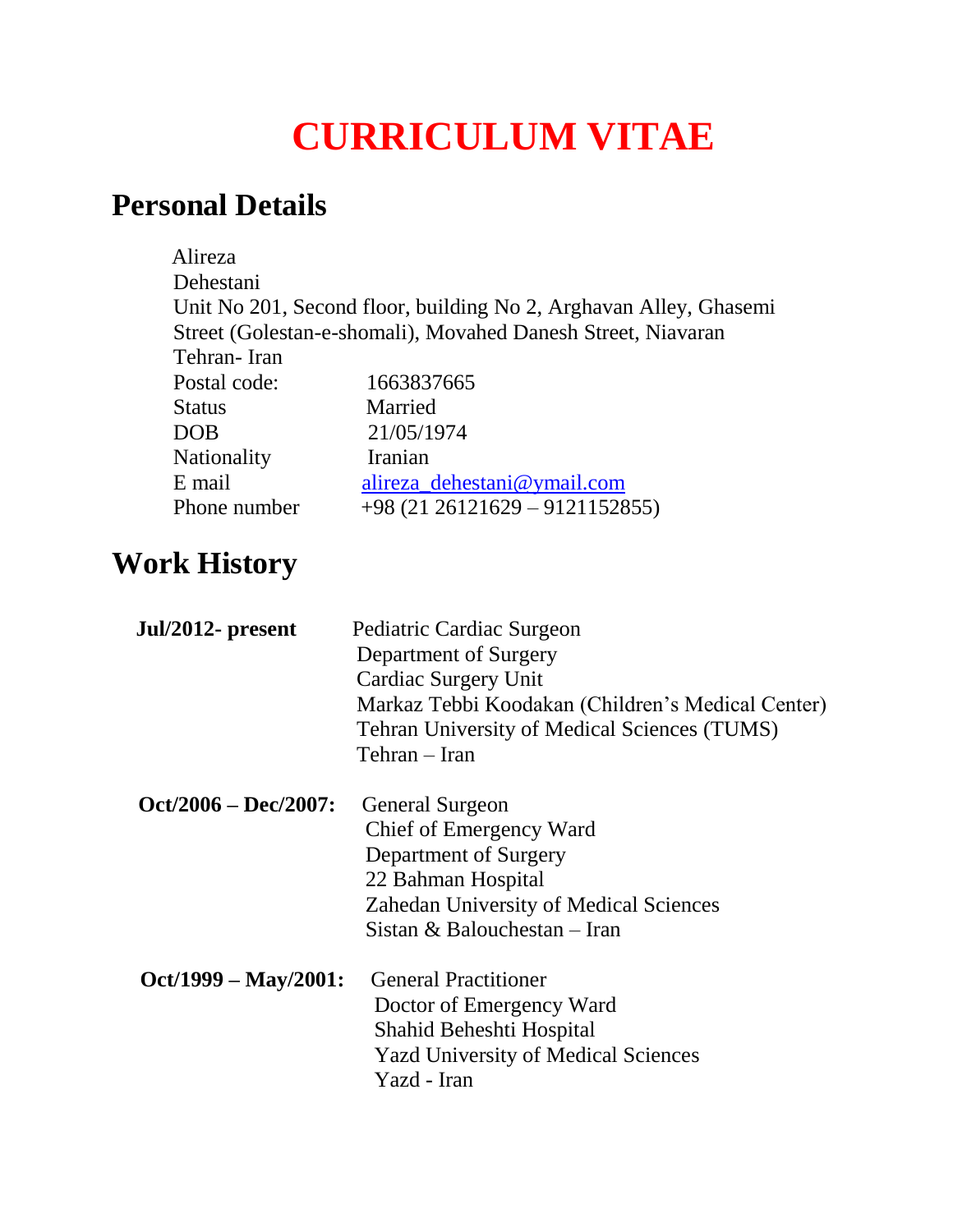# **CURRICULUM VITAE**

### **Personal Details**

| Alireza                 |                                                                   |
|-------------------------|-------------------------------------------------------------------|
| Dehestani               | Unit No 201, Second floor, building No 2, Arghavan Alley, Ghasemi |
|                         | Street (Golestan-e-shomali), Movahed Danesh Street, Niavaran      |
| Tehran-Iran             |                                                                   |
| Postal code:            | 1663837665                                                        |
| <b>Status</b>           | Married                                                           |
| <b>DOB</b>              | 21/05/1974                                                        |
| Nationality             | Iranian                                                           |
| E mail                  | alireza_dehestani@ymail.com                                       |
| Phone number            | $+98(2126121629 - 9121152855)$                                    |
| <b>Work History</b>     |                                                                   |
| Jul/2012- present       | Pediatric Cardiac Surgeon                                         |
|                         | Department of Surgery                                             |
|                         | <b>Cardiac Surgery Unit</b>                                       |
|                         | Markaz Tebbi Koodakan (Children's Medical Center)                 |
|                         | <b>Tehran University of Medical Sciences (TUMS)</b>               |
|                         | Tehran – Iran                                                     |
| $Oct/2006 - Dec/2007$ : | <b>General Surgeon</b>                                            |
|                         | Chief of Emergency Ward                                           |
|                         | Department of Surgery                                             |
|                         | 22 Bahman Hospital                                                |
|                         | Zahedan University of Medical Sciences                            |
|                         | Sistan & Balouchestan - Iran                                      |
| $Oct/1999 - May/2001:$  | <b>General Practitioner</b>                                       |
|                         | Doctor of Emergency Ward                                          |
|                         | Shahid Beheshti Hospital                                          |
|                         | <b>Yazd University of Medical Sciences</b>                        |

Yazd - Iran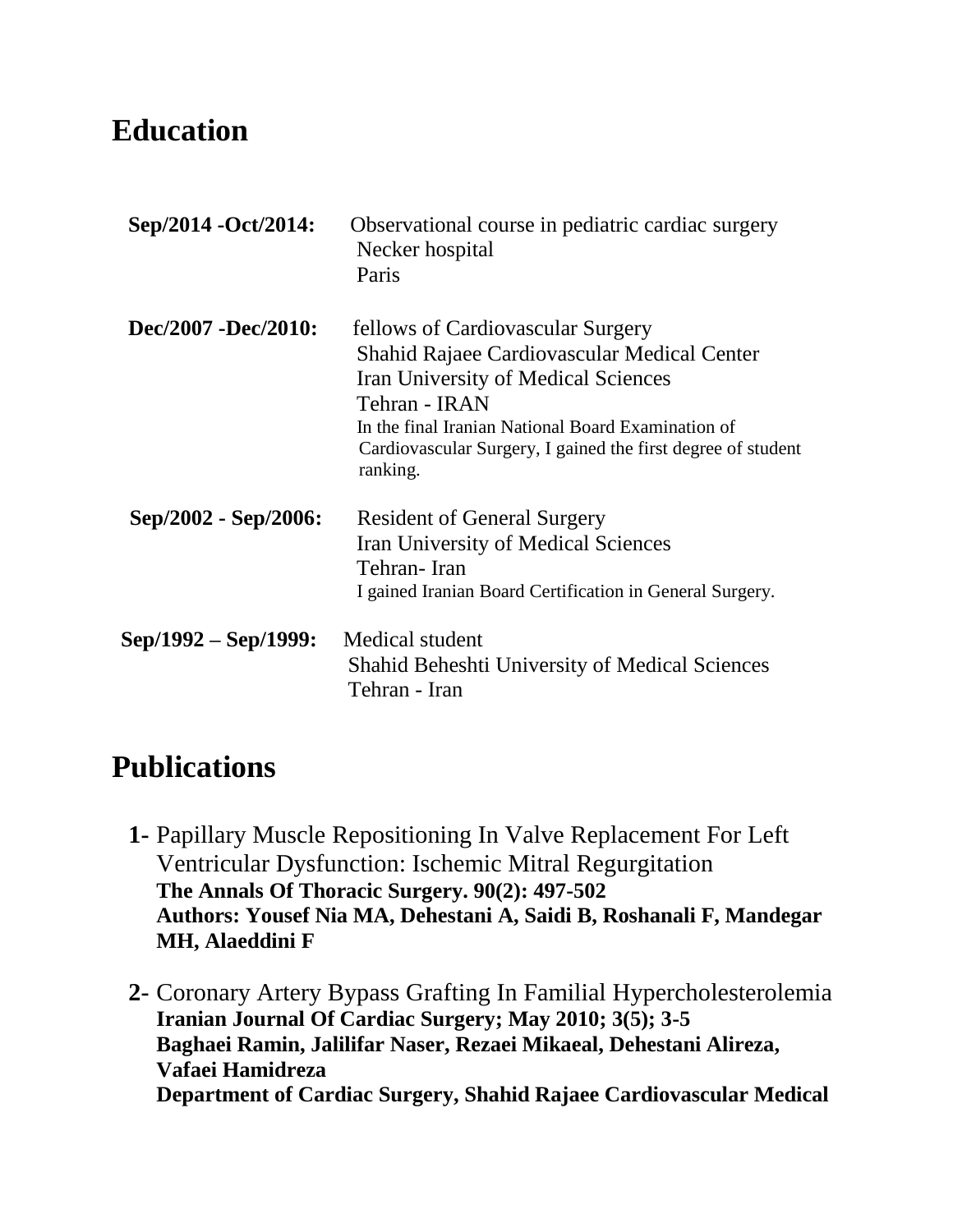#### **Education**

| Sep/2014 - Oct/2014: | Observational course in pediatric cardiac surgery<br>Necker hospital<br>Paris                                                                                                                                                                                                     |
|----------------------|-----------------------------------------------------------------------------------------------------------------------------------------------------------------------------------------------------------------------------------------------------------------------------------|
| Dec/2007 -Dec/2010:  | fellows of Cardiovascular Surgery<br>Shahid Rajaee Cardiovascular Medical Center<br><b>Iran University of Medical Sciences</b><br>Tehran - IRAN<br>In the final Iranian National Board Examination of<br>Cardiovascular Surgery, I gained the first degree of student<br>ranking. |
| Sep/2002 - Sep/2006: | <b>Resident of General Surgery</b><br><b>Iran University of Medical Sciences</b><br>Tehran-Iran<br>I gained Iranian Board Certification in General Surgery.                                                                                                                       |
| Sep/1992 – Sep/1999: | Medical student<br><b>Shahid Beheshti University of Medical Sciences</b><br>Tehran - Iran                                                                                                                                                                                         |

## **Publications**

- **1-** Papillary Muscle Repositioning In Valve Replacement For Left Ventricular Dysfunction: Ischemic Mitral Regurgitation **The Annals Of Thoracic Surgery. 90(2): 497-502 Authors: Yousef Nia MA, Dehestani A, Saidi B, Roshanali F, Mandegar MH, Alaeddini F**
- **2-** Coronary Artery Bypass Grafting In Familial Hypercholesterolemia **Iranian Journal Of Cardiac Surgery; May 2010; 3(5); 3-5 Baghaei Ramin, Jalilifar Naser, Rezaei Mikaeal, Dehestani Alireza, Vafaei Hamidreza Department of Cardiac Surgery, Shahid Rajaee Cardiovascular Medical**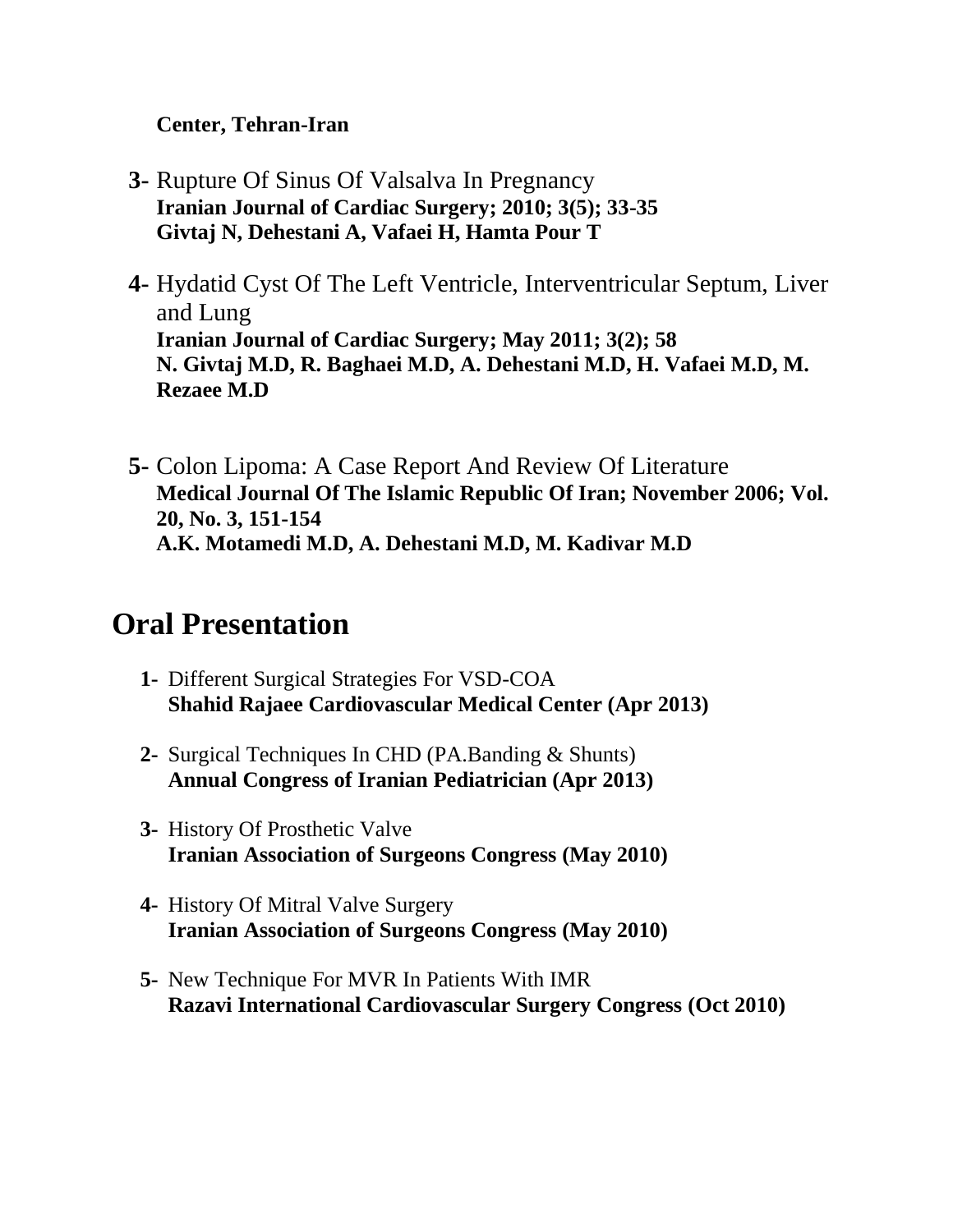#### **Center, Tehran-Iran**

- **3-** Rupture Of Sinus Of Valsalva In Pregnancy **Iranian Journal of Cardiac Surgery; 2010; 3(5); 33-35 Givtaj N, Dehestani A, Vafaei H, Hamta Pour T**
- **4-** Hydatid Cyst Of The Left Ventricle, Interventricular Septum, Liver and Lung **Iranian Journal of Cardiac Surgery; May 2011; 3(2); 58 N. Givtaj M.D, R. Baghaei M.D, A. Dehestani M.D, H. Vafaei M.D, M. Rezaee M.D**
- **5-** Colon Lipoma: A Case Report And Review Of Literature **Medical Journal Of The Islamic Republic Of Iran; November 2006; Vol. 20, No. 3, 151-154 A.K. Motamedi M.D, A. Dehestani M.D, M. Kadivar M.D**

#### **Oral Presentation**

- **1-** Different Surgical Strategies For VSD-COA **Shahid Rajaee Cardiovascular Medical Center (Apr 2013)**
- **2-** Surgical Techniques In CHD (PA.Banding & Shunts) **Annual Congress of Iranian Pediatrician (Apr 2013)**
- **3-** History Of Prosthetic Valve **Iranian Association of Surgeons Congress (May 2010)**
- **4-** History Of Mitral Valve Surgery **Iranian Association of Surgeons Congress (May 2010)**
- **5-** New Technique For MVR In Patients With IMR **Razavi International Cardiovascular Surgery Congress (Oct 2010)**